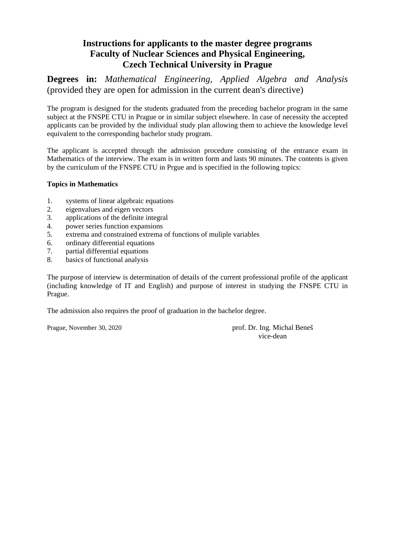**Degrees in:** *Mathematical Engineering, Applied Algebra and Analysis*  (provided they are open for admission in the current dean's directive)

The program is designed for the students graduated from the preceding bachelor program in the same subject at the FNSPE CTU in Prague or in similar subject elsewhere. In case of necessity the accepted applicants can be provided by the individual study plan allowing them to achieve the knowledge level equivalent to the corresponding bachelor study program.

The applicant is accepted through the admission procedure consisting of the entrance exam in Mathematics of the interview. The exam is in written form and lasts 90 minutes. The contents is given by the curriculum of the FNSPE CTU in Prgue and is specified in the following topics:

### **Topics in Mathematics**

- 1. systems of linear algebraic equations
- 2. eigenvalues and eigen vectors
- 3. applications of the definite integral
- 4. power series function expansions
- 5. extrema and constrained extrema of functions of muliple variables
- 6. ordinary differential equations
- 7. partial differential equations
- 8. basics of functional analysis

The purpose of interview is determination of details of the current professional profile of the applicant (including knowledge of IT and English) and purpose of interest in studying the FNSPE CTU in Prague.

The admission also requires the proof of graduation in the bachelor degree.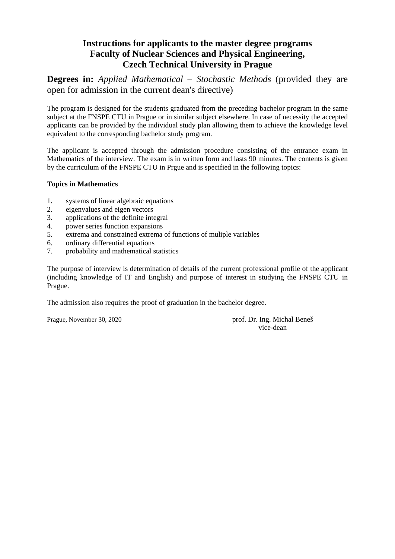**Degrees in:** *Applied Mathematical – Stochastic Methods* (provided they are open for admission in the current dean's directive)

The program is designed for the students graduated from the preceding bachelor program in the same subject at the FNSPE CTU in Prague or in similar subject elsewhere. In case of necessity the accepted applicants can be provided by the individual study plan allowing them to achieve the knowledge level equivalent to the corresponding bachelor study program.

The applicant is accepted through the admission procedure consisting of the entrance exam in Mathematics of the interview. The exam is in written form and lasts 90 minutes. The contents is given by the curriculum of the FNSPE CTU in Prgue and is specified in the following topics:

### **Topics in Mathematics**

- 1. systems of linear algebraic equations
- 2. eigenvalues and eigen vectors
- 3. applications of the definite integral
- 4. power series function expansions
- 5. extrema and constrained extrema of functions of muliple variables
- 6. ordinary differential equations
- 7. probability and mathematical statistics

The purpose of interview is determination of details of the current professional profile of the applicant (including knowledge of IT and English) and purpose of interest in studying the FNSPE CTU in Prague.

The admission also requires the proof of graduation in the bachelor degree.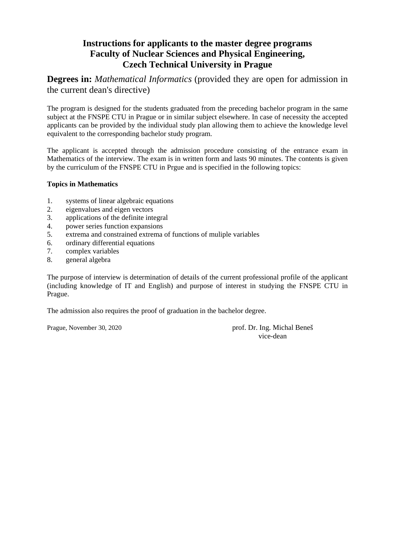**Degrees in:** *Mathematical Informatics* (provided they are open for admission in the current dean's directive)

The program is designed for the students graduated from the preceding bachelor program in the same subject at the FNSPE CTU in Prague or in similar subject elsewhere. In case of necessity the accepted applicants can be provided by the individual study plan allowing them to achieve the knowledge level equivalent to the corresponding bachelor study program.

The applicant is accepted through the admission procedure consisting of the entrance exam in Mathematics of the interview. The exam is in written form and lasts 90 minutes. The contents is given by the curriculum of the FNSPE CTU in Prgue and is specified in the following topics:

### **Topics in Mathematics**

- 1. systems of linear algebraic equations
- 2. eigenvalues and eigen vectors
- 3. applications of the definite integral
- 4. power series function expansions
- 5. extrema and constrained extrema of functions of muliple variables
- 6. ordinary differential equations
- 7. complex variables
- 8. general algebra

The purpose of interview is determination of details of the current professional profile of the applicant (including knowledge of IT and English) and purpose of interest in studying the FNSPE CTU in Prague.

The admission also requires the proof of graduation in the bachelor degree.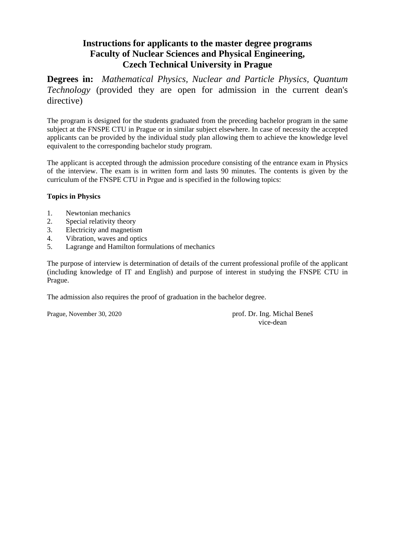**Degrees in:** *Mathematical Physics, Nuclear and Particle Physics, Quantum Technology* (provided they are open for admission in the current dean's directive)

The program is designed for the students graduated from the preceding bachelor program in the same subject at the FNSPE CTU in Prague or in similar subject elsewhere. In case of necessity the accepted applicants can be provided by the individual study plan allowing them to achieve the knowledge level equivalent to the corresponding bachelor study program.

The applicant is accepted through the admission procedure consisting of the entrance exam in Physics of the interview. The exam is in written form and lasts 90 minutes. The contents is given by the curriculum of the FNSPE CTU in Prgue and is specified in the following topics:

### **Topics in Physics**

- 1. Newtonian mechanics
- 2. Special relativity theory
- 3. Electricity and magnetism
- 4. Vibration, waves and optics
- 5. Lagrange and Hamilton formulations of mechanics

The purpose of interview is determination of details of the current professional profile of the applicant (including knowledge of IT and English) and purpose of interest in studying the FNSPE CTU in Prague.

The admission also requires the proof of graduation in the bachelor degree.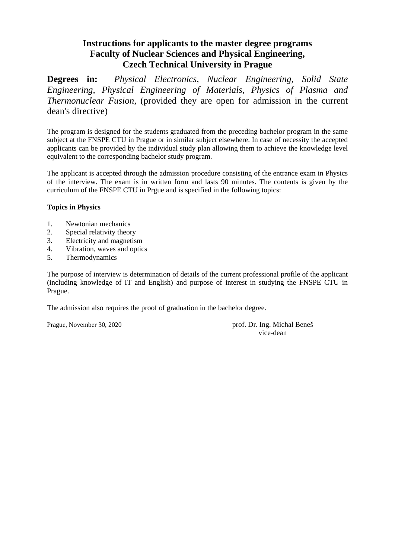**Degrees in:** *Physical Electronics, Nuclear Engineering, Solid State Engineering, Physical Engineering of Materials, Physics of Plasma and Thermonuclear Fusion,* (provided they are open for admission in the current dean's directive)

The program is designed for the students graduated from the preceding bachelor program in the same subject at the FNSPE CTU in Prague or in similar subject elsewhere. In case of necessity the accepted applicants can be provided by the individual study plan allowing them to achieve the knowledge level equivalent to the corresponding bachelor study program.

The applicant is accepted through the admission procedure consisting of the entrance exam in Physics of the interview. The exam is in written form and lasts 90 minutes. The contents is given by the curriculum of the FNSPE CTU in Prgue and is specified in the following topics:

### **Topics in Physics**

- 1. Newtonian mechanics
- 2. Special relativity theory
- 3. Electricity and magnetism
- 4. Vibration, waves and optics
- 5. Thermodynamics

The purpose of interview is determination of details of the current professional profile of the applicant (including knowledge of IT and English) and purpose of interest in studying the FNSPE CTU in Prague.

The admission also requires the proof of graduation in the bachelor degree.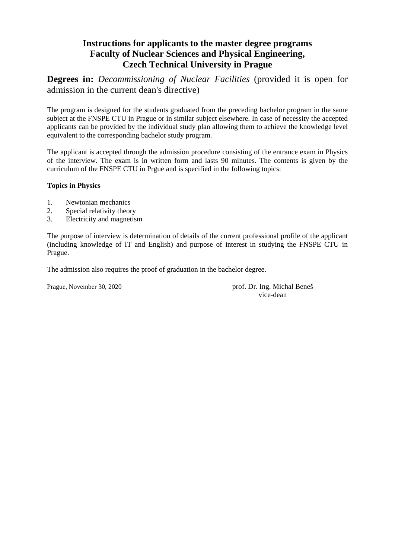**Degrees in:** *Decommissioning of Nuclear Facilities* (provided it is open for admission in the current dean's directive)

The program is designed for the students graduated from the preceding bachelor program in the same subject at the FNSPE CTU in Prague or in similar subject elsewhere. In case of necessity the accepted applicants can be provided by the individual study plan allowing them to achieve the knowledge level equivalent to the corresponding bachelor study program.

The applicant is accepted through the admission procedure consisting of the entrance exam in Physics of the interview. The exam is in written form and lasts 90 minutes. The contents is given by the curriculum of the FNSPE CTU in Prgue and is specified in the following topics:

### **Topics in Physics**

- 1. Newtonian mechanics
- 2. Special relativity theory
- 3. Electricity and magnetism

The purpose of interview is determination of details of the current professional profile of the applicant (including knowledge of IT and English) and purpose of interest in studying the FNSPE CTU in Prague.

The admission also requires the proof of graduation in the bachelor degree.